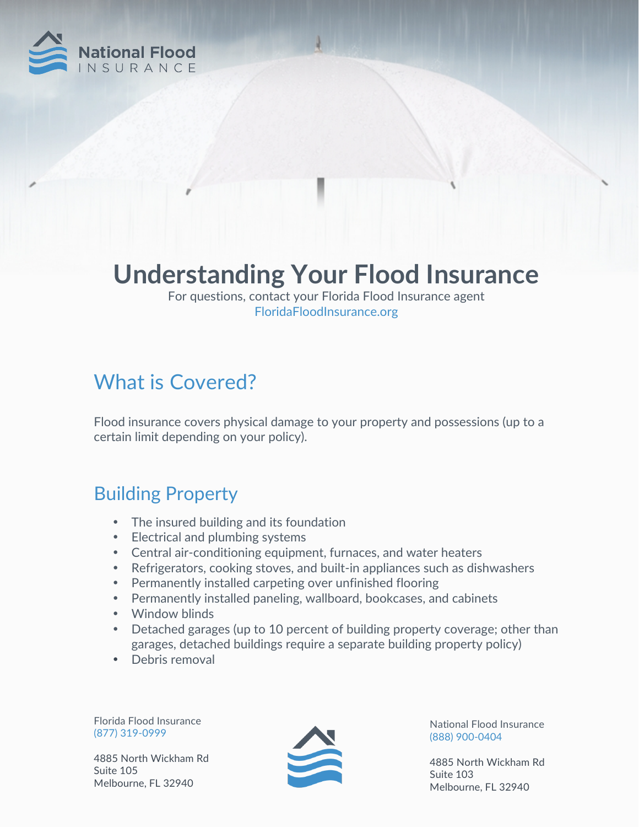

# **Understanding Your Flood Insurance**

For questions, contact your Florida Flood Insurance agent FloridaFloodInsurance.org

## What is Covered?

Flood insurance covers physical damage to your property and possessions (up to a certain limit depending on your policy).

#### Building Property

- The insured building and its foundation
- Electrical and plumbing systems
- Central air-conditioning equipment, furnaces, and water heaters
- Refrigerators, cooking stoves, and built-in appliances such as dishwashers
- Permanently installed carpeting over unfinished flooring
- Permanently installed paneling, wallboard, bookcases, and cabinets
- Window blinds
- Detached garages (up to 10 percent of building property coverage; other than garages, detached buildings require a separate building property policy)
- Debris removal

Florida Flood Insurance (877) 319-0999

4885 North Wickham Rd Suite 105 Melbourne, FL 32940



National Flood Insurance (888) 900-0404

4885 North Wickham Rd Suite 103 Melbourne, FL 32940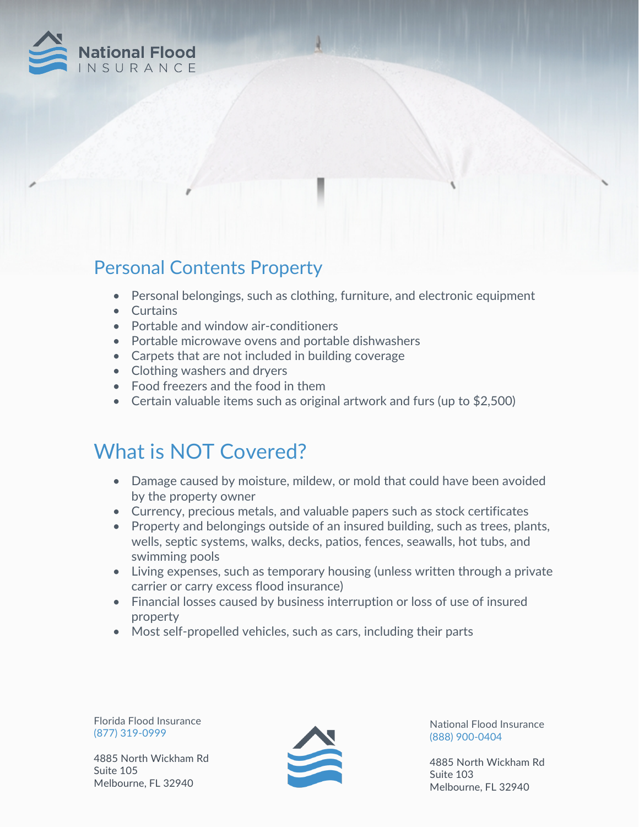

#### Personal Contents Property

- Personal belongings, such as clothing, furniture, and electronic equipment
- Curtains
- Portable and window air-conditioners
- Portable microwave ovens and portable dishwashers
- Carpets that are not included in building coverage
- Clothing washers and dryers
- Food freezers and the food in them
- Certain valuable items such as original artwork and furs (up to \$2,500)

### What is NOT Covered?

- Damage caused by moisture, mildew, or mold that could have been avoided by the property owner
- Currency, precious metals, and valuable papers such as stock certificates
- Property and belongings outside of an insured building, such as trees, plants, wells, septic systems, walks, decks, patios, fences, seawalls, hot tubs, and swimming pools
- Living expenses, such as temporary housing (unless written through a private carrier or carry excess flood insurance)
- Financial losses caused by business interruption or loss of use of insured property
- Most self-propelled vehicles, such as cars, including their parts

Florida Flood Insurance (877) 319-0999

4885 North Wickham Rd Suite 105 Melbourne, FL 32940



National Flood Insurance (888) 900-0404

4885 North Wickham Rd Suite 103 Melbourne, FL 32940